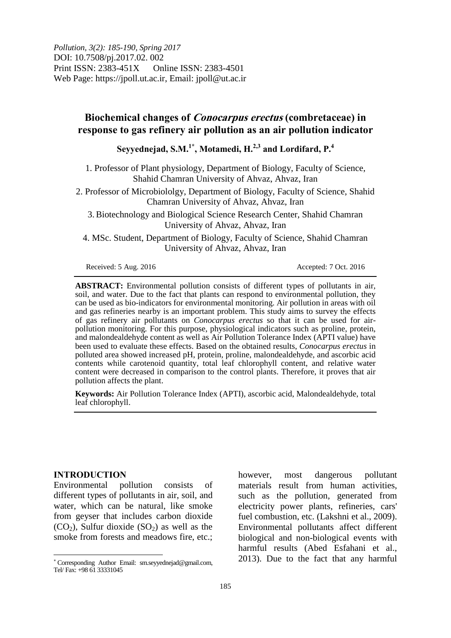*Pollution, 3(2): 185-190, Spring 2017* DOI: 10.7508/pj.2017.02. 002 Print ISSN: 2383-451X Online ISSN: 2383-4501 Web Page: https://jpoll.ut.ac.ir, Email: jpoll@ut.ac.ir

# **Biochemical changes of Conocarpus erectus (combretaceae) in response to gas refinery air pollution as an air pollution indicator**

**Seyyednejad, S.M.1\* , Motamedi, H.2,3 and Lordifard, P.<sup>4</sup>**

1. Professor of Plant physiology, Department of Biology, Faculty of Science, Shahid Chamran University of Ahvaz, Ahvaz, Iran

2. Professor of Microbiololgy, Department of Biology, Faculty of Science, Shahid Chamran University of Ahvaz, Ahvaz, Iran

3. Biotechnology and Biological Science Research Center, Shahid Chamran University of Ahvaz, Ahvaz, Iran

4. MSc. Student, Department of Biology, Faculty of Science, Shahid Chamran University of Ahvaz, Ahvaz, Iran

Received: 5 Aug. 2016 Accepted: 7 Oct. 2016

**ABSTRACT:** Environmental pollution consists of different types of pollutants in air, soil, and water. Due to the fact that plants can respond to environmental pollution, they can be used as bio-indicators for environmental monitoring. Air pollution in areas with oil and gas refineries nearby is an important problem. This study aims to survey the effects of gas refinery air pollutants on *Conocarpus erectus* so that it can be used for airpollution monitoring*.* For this purpose, physiological indicators such as proline, protein, and malondealdehyde content as well as Air Pollution Tolerance Index (APTI value) have been used to evaluate these effects. Based on the obtained results, *Conocarpus erectus* in polluted area showed increased pH, protein, proline, malondealdehyde, and ascorbic acid contents while carotenoid quantity, total leaf chlorophyll content, and relative water content were decreased in comparison to the control plants. Therefore, it proves that air pollution affects the plant.

**Keywords:** Air Pollution Tolerance Index (APTI), ascorbic acid, Malondealdehyde, total leaf chlorophyll.

### **INTRODUCTION**

 $\overline{a}$ 

Environmental pollution consists of different types of pollutants in air, soil, and water, which can be natural, like smoke from geyser that includes carbon dioxide  $(CO<sub>2</sub>)$ , Sulfur dioxide  $(SO<sub>2</sub>)$  as well as the smoke from forests and meadows fire, etc.;

however, most dangerous pollutant materials result from human activities, such as the pollution, generated from electricity power plants, refineries, cars' fuel combustion, etc. (Lakshni et al., 2009). Environmental pollutants affect different biological and non-biological events with harmful results (Abed Esfahani et al., 2013). Due to the fact that any harmful

Corresponding Author Email: sm.seyyednejad@gmail.com, Tel/ Fax: +98 61 33331045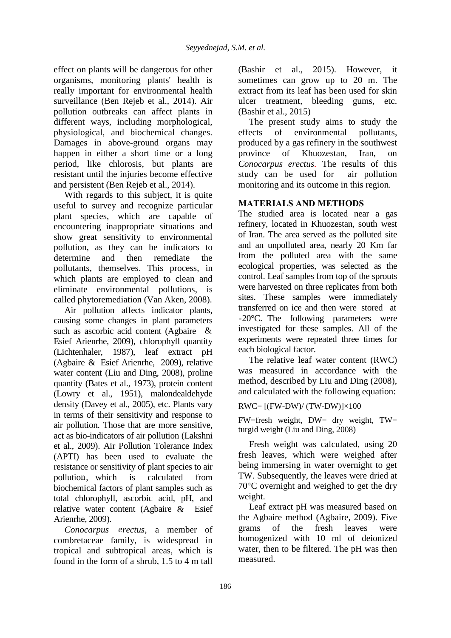effect on plants will be dangerous for other organisms, monitoring plants' health is really important for environmental health surveillance (Ben Rejeb et al., 2014). Air pollution outbreaks can affect plants in different ways, including morphological, physiological, and biochemical changes. Damages in above-ground organs may happen in either a short time or a long period, like chlorosis, but plants are resistant until the injuries become effective and persistent (Ben Rejeb et al., 2014).

With regards to this subject, it is quite useful to survey and recognize particular plant species, which are capable of encountering inappropriate situations and show great sensitivity to environmental pollution, as they can be indicators to determine and then remediate the pollutants, themselves. This process, in which plants are employed to clean and eliminate environmental pollutions, is called phytoremediation (Van Aken, 2008).

Air pollution affects indicator plants, causing some changes in plant parameters such as ascorbic acid content (Agbaire & Esief Arienrhe, 2009), chlorophyll quantity (Lichtenhaler, 1987), leaf extract pH (Agbaire & Esief Arienrhe, 2009), relative water content (Liu and Ding, 2008), proline quantity (Bates et al., 1973), protein content (Lowry et al., 1951), malondealdehyde density (Davey et al., 2005), etc. Plants vary in terms of their sensitivity and response to air pollution. Those that are more sensitive, act as bio-indicators of air pollution (Lakshni et al., 2009). Air Pollution Tolerance Index (APTI) has been used to evaluate the resistance or sensitivity of plant species to air pollution, which is calculated from biochemical factors of plant samples such as total chlorophyll, ascorbic acid, pH, and relative water content (Agbaire  $\&$  Esief Arienrhe, 2009).

Conocarpus erectus, a member of combretaceae family, is widespread in tropical and subtropical areas, which is found in the form of a shrub, 1.5 to 4 m tall

(Bashir et al., 2015). However, it sometimes can grow up to 20 m. The extract from its leaf has been used for skin ulcer treatment, bleeding gums, etc. (Bashir et al., 2015)

The present study aims to study the effects of environmental pollutants, produced by a gas refinery in the southwest province of Khuozestan, Iran, on *Conocarpus erectus.* The results of this study can be used for air pollution monitoring and its outcome in this region.

# **MATERIALS AND METHODS**

The studied area is located near a gas refinery, located in Khuozestan, south west of Iran. The area served as the polluted site and an unpolluted area, nearly 20 Km far from the polluted area with the same ecological properties, was selected as the control. Leaf samples from top of the sprouts were harvested on three replicates from both sites. These samples were immediately transferred on ice and then were stored at -20°C. The following parameters were investigated for these samples. All of the experiments were repeated three times for each biological factor.

The relative leaf water content (RWC) was measured in accordance with the method, described by Liu and Ding (2008), and calculated with the following equation:

 $RWC = [(FW-DW)/(TW-DW)] \times 100$ 

FW=fresh weight, DW= dry weight, TW= turgid weight (Liu and Ding, 2008)

Fresh weight was calculated, using 20 fresh leaves, which were weighed after being immersing in water overnight to get TW. Subsequently, the leaves were dried at 70°C overnight and weighed to get the dry weight.

Leaf extract pH was measured based on the Agbaire method (Agbaire, 2009). Five grams of the fresh leaves were homogenized with 10 ml of deionized water, then to be filtered. The pH was then measured.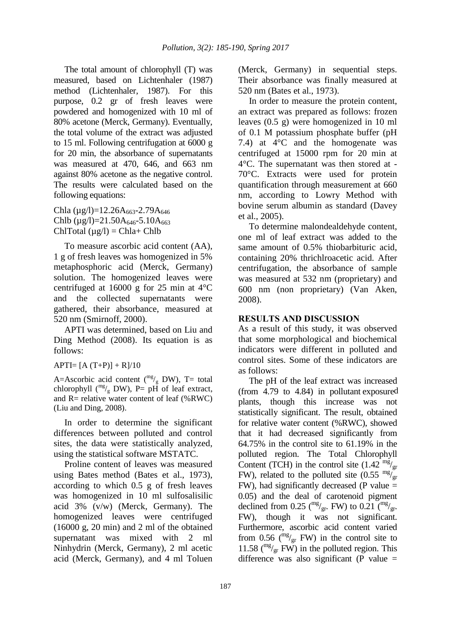The total amount of chlorophyll (T) was measured, based on Lichtenhaler (1987) method (Lichtenhaler, 1987). For this purpose, 0.2 gr of fresh leaves were powdered and homogenized with 10 ml of 80% acetone (Merck, Germany). Eventually, the total volume of the extract was adjusted to 15 ml. Following centrifugation at 6000 g for 20 min, the absorbance of supernatants was measured at 470, 646, and 663 nm against 80% acetone as the negative control. The results were calculated based on the following equations:

Chla ( $\mu$ g/l)=12.26A<sub>663</sub>-2.79A<sub>646</sub> Chlb ( $\mu$ g/l)=21.50A<sub>646</sub>-5.10A<sub>663</sub> ChlTotal  $(\mu g/I) = Chla + Chlb$ 

To measure ascorbic acid content (AA), 1 g of fresh leaves was homogenized in 5% metaphosphoric acid (Merck, Germany) solution. The homogenized leaves were centrifuged at 16000 g for 25 min at 4°C and the collected supernatants were gathered, their absorbance, measured at 520 nm (Smirnoff, 2000).

APTI was determined, based on Liu and Ding Method (2008). Its equation is as follows:

 $APTI = [A (T+P)] + R]/10$ 

A=Ascorbic acid content ( $\binom{mg}{g}$  DW), T= total chlorophyll  $\binom{mg}{g}$  DW), P= pH of leaf extract, and  $R=$  relative water content of leaf (%RWC) (Liu and Ding, 2008).

In order to determine the significant differences between polluted and control sites, the data were statistically analyzed, using the statistical software MSTATC.

Proline content of leaves was measured using Bates method (Bates et al., 1973), according to which 0.5 g of fresh leaves was homogenized in 10 ml sulfosalisilic acid 3% (v/w) (Merck, Germany). The homogenized leaves were centrifuged (16000 g, 20 min) and 2 ml of the obtained supernatant was mixed with 2 ml Ninhydrin (Merck, Germany), 2 ml acetic acid (Merck, Germany), and 4 ml Toluen (Merck, Germany) in sequential steps. Their absorbance was finally measured at 520 nm (Bates et al., 1973).

In order to measure the protein content, an extract was prepared as follows: frozen leaves (0.5 g) were homogenized in 10 ml of 0.1 M potassium phosphate buffer (pH 7.4) at 4°C and the homogenate was centrifuged at 15000 rpm for 20 min at 4°C. The supernatant was then stored at - 70°C. Extracts were used for protein quantification through measurement at 660 nm, according to Lowry Method with bovine serum albumin as standard (Davey et al., 2005).

To determine malondealdehyde content, one ml of leaf extract was added to the same amount of 0.5% thiobarbituric acid, containing 20% thrichlroacetic acid. After centrifugation, the absorbance of sample was measured at 532 nm (proprietary) and 600 nm (non proprietary) (Van Aken, 2008).

## **RESULTS AND DISCUSSION**

As a result of this study, it was observed that some morphological and biochemical indicators were different in polluted and control sites. Some of these indicators are as follows:

The pH of the leaf extract was increased  $(from 4.79 to 4.84)$  in pollutant exposured plants, though this increase was not statistically significant. The result, obtained for relative water content (%RWC), showed that it had decreased significantly from 64.75% in the control site to 61.19% in the polluted region. The Total Chlorophyll Content (TCH) in the control site  $(1.42 \frac{mg}{gr})_{gr}$ FW), related to the polluted site  $(0.55 \frac{\text{mg}}{\text{gr}})$  $FW$ ), had significantly decreased (P value  $=$ 0.05) and the deal of carotenoid pigment declined from 0.25 ( $\frac{mg}{gr}$ . FW) to 0.21 ( $\frac{mg}{gr}$ . FW), though it was not significant. Furthermore, ascorbic acid content varied from 0.56 ( $\frac{mg}{gr}$  FW) in the control site to 11.58 ( $\rm{mg}/\rm{yr}$  FW) in the polluted region. This difference was also significant (P value  $=$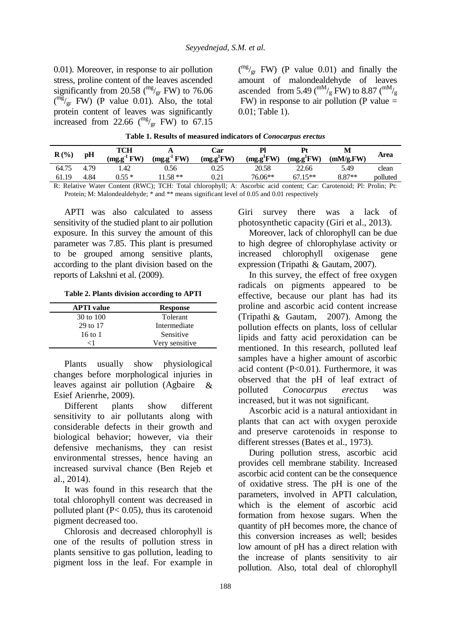0.01). Moreover, in response to air pollution stress, proline content of the leaves ascended significantly from 20.58 ( $\frac{mg}{gr}$  FW) to 76.06  $\binom{mg}{gr}$  FW) (P value 0.01). Also, the total protein content of leaves was significantly increased from 22.66  $\binom{mg}{gr}$  FW) to 67.15

 $\binom{mg}{gr}$  FW) (P value 0.01) and finally the amount of malondealdehyde of leaves ascended from 5.49 ( $\rm{^{mM}/_{g}}$  FW) to 8.87 ( $\rm{^{mM}/_{g}}$ FW) in response to air pollution (P value = 0.01; Table 1).

| $R(\%)$ | pH   | TCH<br>$(mg.g-1FW)$ | $(mg.g-1 FW)$ | Car<br>(mg.g <sup>1</sup> FW) | Р<br>(mg.g <sup>1</sup> FW) | Pt<br>(mg.g <sup>1</sup> FW) | М<br>(mM/g.FW) | Area     |
|---------|------|---------------------|---------------|-------------------------------|-----------------------------|------------------------------|----------------|----------|
| 64.75   | 4.79 | .42                 | 0.56          | 0.25                          | 20.58                       | 22.66                        | 5.49           | clean    |
| 61.19   | 4.84 | $0.55*$             | $1.58**$      | 0.21                          | 76.06**                     | $67.15**$                    | 8.87**         | polluted |

**Table 1. Results of measured indicators of** *Conocarpus erectus* 

R: Relative Water Content (RWC); TCH: Total chlorophyll; A: Ascorbic acid content; Car: Carotenoid; Pl: Prolin; Pt: Protein; M: Malondealdehyde;  $*$  and  $**$  means significant level of 0.05 and 0.01 respectively

APTI was also calculated to assess sensitivity of the studied plant to air pollution exposure. In this survey the amount of this parameter was 7.85. This plant is presumed to be grouped among sensitive plants, according to the plant division based on the reports of Lakshni et al. (2009).

**Table 2. Plants division according to APTI** 

| <b>APTI</b> value | <b>Response</b> |
|-------------------|-----------------|
| 30 to 100         | Tolerant        |
| 29 to 17          | Intermediate    |
| 16 to 1           | Sensitive       |
| ←1                | Very sensitive  |

Plants usually show physiological changes before morphological injuries in leaves against air pollution (Agbaire Esief Arienrhe, 2009). &

Different plants show different sensitivity to air pollutants along with considerable defects in their growth and biological behavior; however, via their defensive mechanisms, they can resist environmental stresses, hence having an increased survival chance (Ben Rejeb et al., 2014).

It was found in this research that the total chlorophyll content was decreased in polluted plant  $(P< 0.05)$ , thus its carotenoid pigment decreased too.

Chlorosis and decreased chlorophyll is one of the results of pollution stress in plants sensitive to gas pollution, leading to pigment loss in the leaf. For example in Giri survey there was a lack of photosynthetic capacity (Giri et al., 2013).

Moreover, lack of chlorophyll can be due to high degree of chlorophylase activity or increased chlorophyll oxigenase gene expression (Tripathi & Gautam, 2007).

In this survey, the effect of free oxygen radicals on pigments appeared to be effective, because our plant has had its proline and ascorbic acid content increase (Tripathi  $&$  Gautam, 2007). Among the pollution effects on plants, loss of cellular lipids and fatty acid peroxidation can be mentioned. In this research, polluted leaf samples have a higher amount of ascorbic acid content (P<0.01). Furthermore, it was observed that the pH of leaf extract of polluted *Conocarpus erectus* was increased, but it was not significant.

Ascorbic acid is a natural antioxidant in plants that can act with oxygen peroxide and preserve carotenoids in response to different stresses (Bates et al., 1973).

During pollution stress, ascorbic acid provides cell membrane stability. Increased ascorbic acid content can be the consequence of oxidative stress. The pH is one of the parameters, involved in APTI calculation, which is the element of ascorbic acid formation from hexose sugars. When the quantity of pH becomes more, the chance of this conversion increases as well; besides low amount of pH has a direct relation with the increase of plants sensitivity to air pollution. Also, total deal of chlorophyll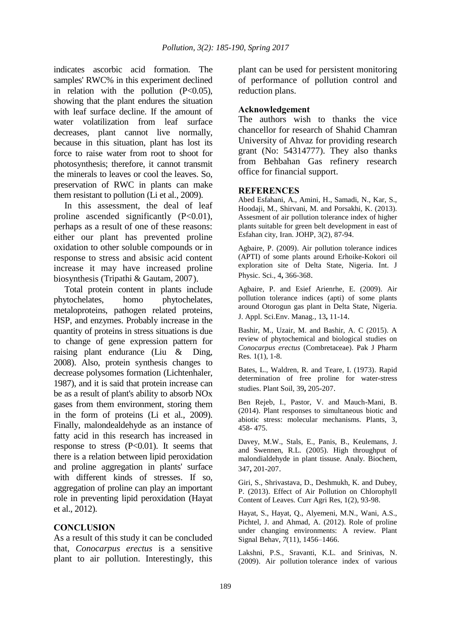indicates ascorbic acid formation. The samples' RWC% in this experiment declined in relation with the pollution  $(P<0.05)$ , showing that the plant endures the situation with leaf surface decline. If the amount of water volatilization from leaf surface decreases, plant cannot live normally, because in this situation, plant has lost its force to raise water from root to shoot for photosynthesis; therefore, it cannot transmit the minerals to leaves or cool the leaves. So, preservation of RWC in plants can make them resistant to pollution (Li et al., 2009).

In this assessment, the deal of leaf proline ascended significantly  $(P<0.01)$ , perhaps as a result of one of these reasons: either our plant has prevented proline oxidation to other soluble compounds or in response to stress and absisic acid content increase it may have increased proline biosynthesis (Tripathi & Gautam, 2007).

Total protein content in plants include phytochelates, homo phytochelates, metaloproteins, pathogen related proteins, HSP, and enzymes. Probably increase in the quantity of proteins in stress situations is due to change of gene expression pattern for raising plant endurance (Liu  $&$  Ding, 2008). Also, protein synthesis changes to decrease polysomes formation (Lichtenhaler, 1987), and it is said that protein increase can be as a result of plant's ability to absorb NOx gases from them environment, storing them in the form of proteins (Li et al., 2009). Finally, malondealdehyde as an instance of fatty acid in this research has increased in response to stress  $(P<0.01)$ . It seems that there is a relation between lipid peroxidation and proline aggregation in plants' surface with different kinds of stresses. If so, aggregation of proline can play an important role in preventing lipid peroxidation (Hayat et al., 2012).

## **CONCLUSION**

As a result of this study it can be concluded that, *Conocarpus erectus* is a sensitive plant to air pollution. Interestingly, this plant can be used for persistent monitoring of performance of pollution control and reduction plans.

## **Acknowledgement**

The authors wish to thanks the vice chancellor for research of Shahid Chamran University of Ahvaz for providing research grant (No: 54314777). They also thanks from Behbahan Gas refinery research office for financial support.

#### **REFERENCES**

Abed Esfahani, A., Amini, H., Samadi, N., Kar, S., Hoodaji, M., Shirvani, M. and Porsakhi, K. (2013). Assesment of air pollution tolerance index of higher plants suitable for green belt development in east of Esfahan city, Iran. JOHP, 3(2), 87-94.

Agbaire, P. (2009). Air pollution tolerance indices (APTI) of some plants around Erhoike-Kokori oil exploration site of Delta State, Nigeria. Int. J Physic. Sci.*,* 4**,** 366-368.

Agbaire, P. and Esief Arienrhe, E. (2009). Air pollution tolerance indices (apti) of some plants around Otorogun gas plant in Delta State, Nigeria. J. Appl. Sci.Env. Manag.*,* 13**,** 11-14.

Bashir, M., Uzair, M. and Bashir, A. C (2015). A review of phytochemical and biological studies on *Conocarpus erectus* (Combretaceae). Pak J Pharm Res. 1(1), 1-8.

Bates, L., Waldren, R. and Teare, I. (1973). Rapid determination of free proline for water-stress studies. Plant Soil*,* 39**,** 205-207.

Ben Rejeb, I., Pastor, V. and Mauch-Mani, B. (2014). Plant responses to simultaneous biotic and abiotic stress: molecular mechanisms. Plants, 3, 458- 475.

Davey, M.W., Stals, E., Panis, B., Keulemans, J. and Swennen, R.L. (2005). High throughput of malondialdehyde in plant tissuse. Analy. Biochem*,* 347**,** 201-207.

Giri, S., Shrivastava, D., Deshmukh, K. and Dubey, P. (2013). Effect of Air Pollution on Chlorophyll Content of Leaves. Curr Agri Res, 1(2), 93-98.

Hayat, S., Hayat, Q., Alyemeni, M.N., Wani, A.S., Pichtel, J. and Ahmad, A. (2012). Role of proline under changing environments: A review. Plant Signal Behav, *7*(11), 1456–1466.

Lakshni, P.S., Sravanti, K.L. and Srinivas, N. (2009). Air pollution tolerance index of various